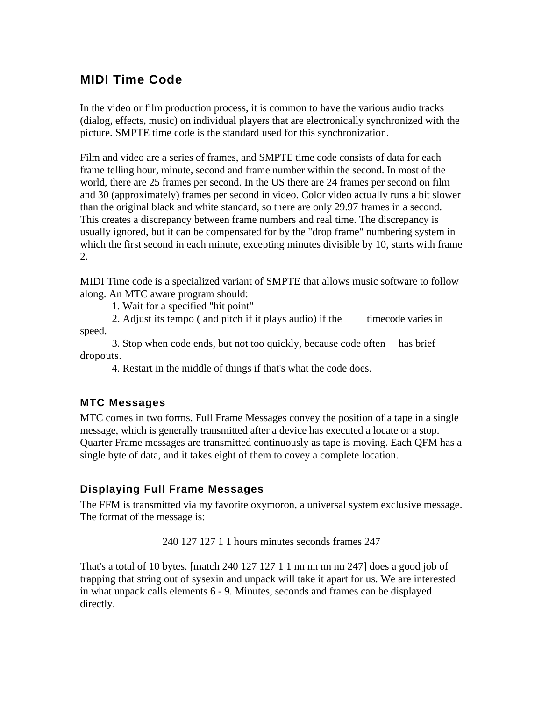# **MIDI Time Code**

In the video or film production process, it is common to have the various audio tracks (dialog, effects, music) on individual players that are electronically synchronized with the picture. SMPTE time code is the standard used for this synchronization.

Film and video are a series of frames, and SMPTE time code consists of data for each frame telling hour, minute, second and frame number within the second. In most of the world, there are 25 frames per second. In the US there are 24 frames per second on film and 30 (approximately) frames per second in video. Color video actually runs a bit slower than the original black and white standard, so there are only 29.97 frames in a second. This creates a discrepancy between frame numbers and real time. The discrepancy is usually ignored, but it can be compensated for by the "drop frame" numbering system in which the first second in each minute, excepting minutes divisible by 10, starts with frame 2.

MIDI Time code is a specialized variant of SMPTE that allows music software to follow along. An MTC aware program should:

1. Wait for a specified "hit point"

2. Adjust its tempo ( and pitch if it plays audio) if the timecode varies in speed.

3. Stop when code ends, but not too quickly, because code often has brief dropouts.

4. Restart in the middle of things if that's what the code does.

#### **MTC Messages**

MTC comes in two forms. Full Frame Messages convey the position of a tape in a single message, which is generally transmitted after a device has executed a locate or a stop. Quarter Frame messages are transmitted continuously as tape is moving. Each QFM has a single byte of data, and it takes eight of them to covey a complete location.

#### **Displaying Full Frame Messages**

The FFM is transmitted via my favorite oxymoron, a universal system exclusive message. The format of the message is:

240 127 127 1 1 hours minutes seconds frames 247

That's a total of 10 bytes. [match 240 127 127 1 1 nn nn nn nn 247] does a good job of trapping that string out of sysexin and unpack will take it apart for us. We are interested in what unpack calls elements 6 - 9. Minutes, seconds and frames can be displayed directly.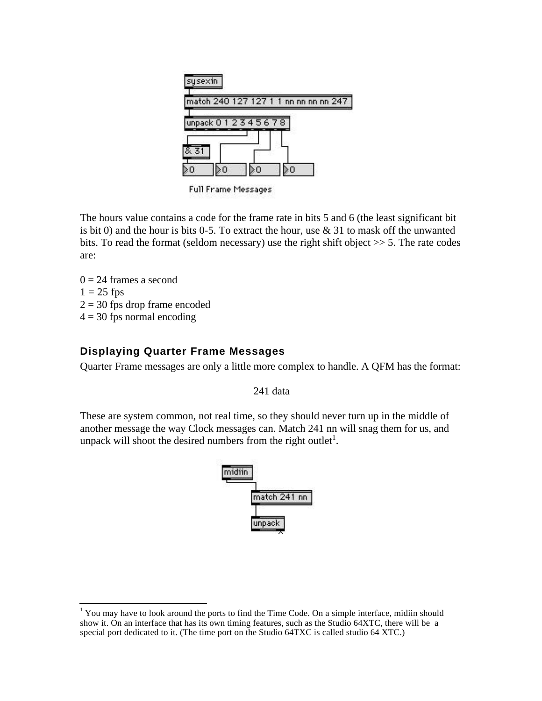

Full Frame Messages

The hours value contains a code for the frame rate in bits 5 and 6 (the least significant bit is bit 0) and the hour is bits 0-5. To extract the hour, use  $\&$  31 to mask off the unwanted bits. To read the format (seldom necessary) use the right shift object >> 5. The rate codes are:

 $0 = 24$  frames a second  $1 = 25$  fps  $2 = 30$  fps drop frame encoded  $4 = 30$  fps normal encoding

j

#### **Displaying Quarter Frame Messages**

Quarter Frame messages are only a little more complex to handle. A QFM has the format:

241 data

These are system common, not real time, so they should never turn up in the middle of another message the way Clock messages can. Match 241 nn will snag them for us, and unpack will shoot the desired numbers from the right outlet<sup>1</sup>.



 $<sup>1</sup>$  You may have to look around the ports to find the Time Code. On a simple interface, midiin should</sup> show it. On an interface that has its own timing features, such as the Studio 64XTC, there will be a special port dedicated to it. (The time port on the Studio 64TXC is called studio 64 XTC.)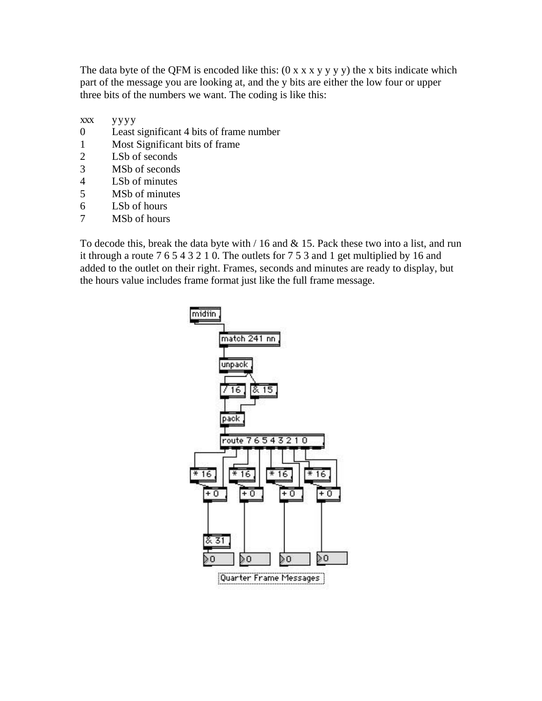The data byte of the QFM is encoded like this:  $(0 \times x \times y \times y \times y)$  the x bits indicate which part of the message you are looking at, and the y bits are either the low four or upper three bits of the numbers we want. The coding is like this:

- xxx yyyy
- 0 Least significant 4 bits of frame number
- 1 Most Significant bits of frame<br>2 LSb of seconds
- LSb of seconds
- 3 MSb of seconds
- 4 LSb of minutes
- 5 MSb of minutes
- 6 LSb of hours
- 7 MSb of hours

To decode this, break the data byte with  $/16$  and  $\&$  15. Pack these two into a list, and run it through a route 7 6 5 4 3 2 1 0. The outlets for 7 5 3 and 1 get multiplied by 16 and added to the outlet on their right. Frames, seconds and minutes are ready to display, but the hours value includes frame format just like the full frame message.

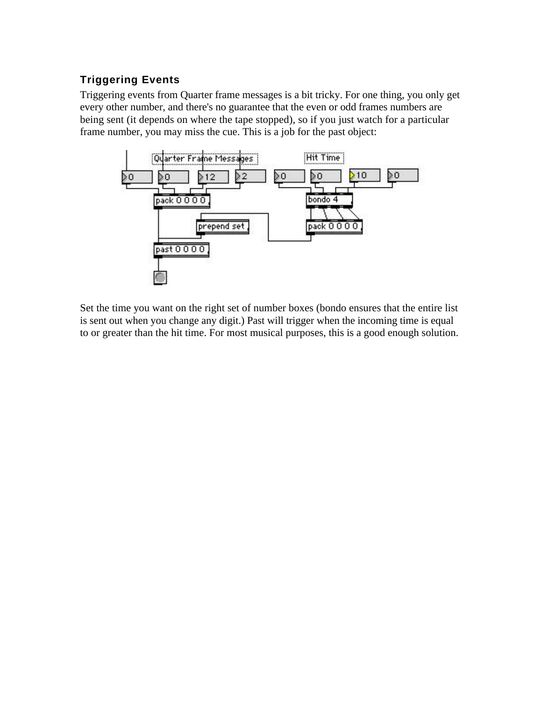## **Triggering Events**

Triggering events from Quarter frame messages is a bit tricky. For one thing, you only get every other number, and there's no guarantee that the even or odd frames numbers are being sent (it depends on where the tape stopped), so if you just watch for a particular frame number, you may miss the cue. This is a job for the past object:



Set the time you want on the right set of number boxes (bondo ensures that the entire list is sent out when you change any digit.) Past will trigger when the incoming time is equal to or greater than the hit time. For most musical purposes, this is a good enough solution.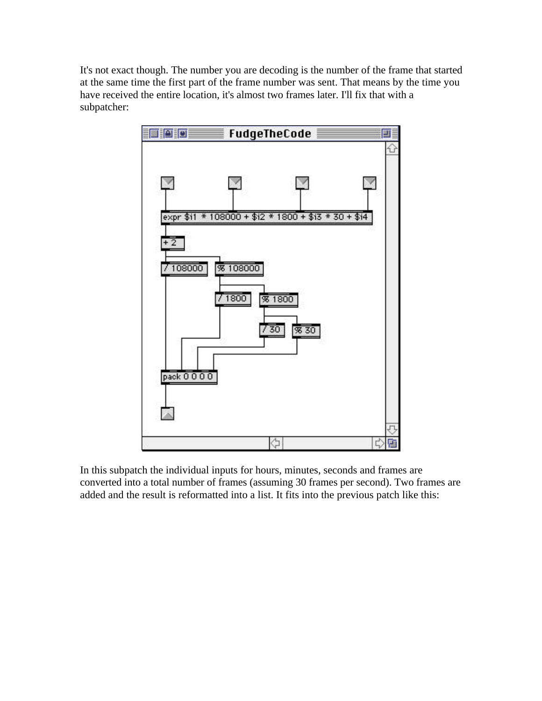It's not exact though. The number you are decoding is the number of the frame that started at the same time the first part of the frame number was sent. That means by the time you have received the entire location, it's almost two frames later. I'll fix that with a subpatcher:



In this subpatch the individual inputs for hours, minutes, seconds and frames are converted into a total number of frames (assuming 30 frames per second). Two frames are added and the result is reformatted into a list. It fits into the previous patch like this: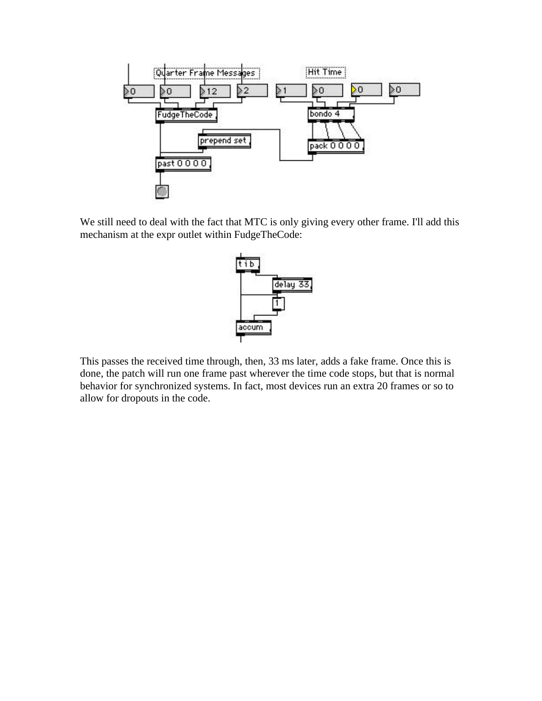

We still need to deal with the fact that MTC is only giving every other frame. I'll add this mechanism at the expr outlet within FudgeTheCode:



This passes the received time through, then, 33 ms later, adds a fake frame. Once this is done, the patch will run one frame past wherever the time code stops, but that is normal behavior for synchronized systems. In fact, most devices run an extra 20 frames or so to allow for dropouts in the code.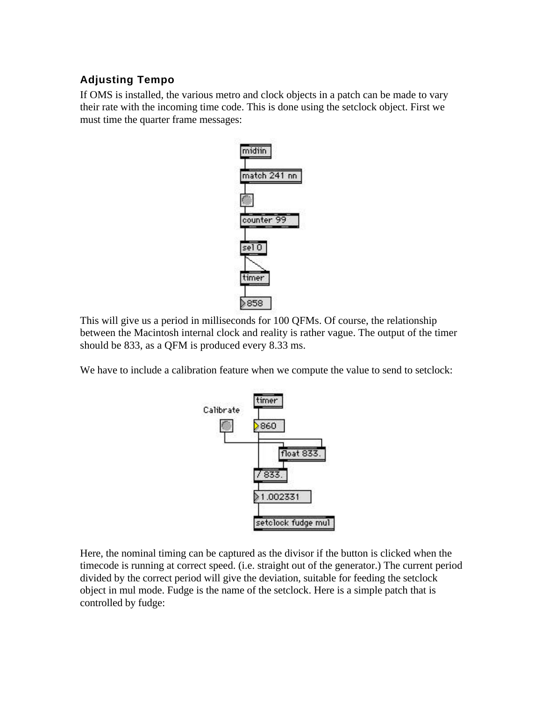### **Adjusting Tempo**

If OMS is installed, the various metro and clock objects in a patch can be made to vary their rate with the incoming time code. This is done using the setclock object. First we must time the quarter frame messages:



This will give us a period in milliseconds for 100 QFMs. Of course, the relationship between the Macintosh internal clock and reality is rather vague. The output of the timer should be 833, as a QFM is produced every 8.33 ms.

We have to include a calibration feature when we compute the value to send to setclock:



Here, the nominal timing can be captured as the divisor if the button is clicked when the timecode is running at correct speed. (i.e. straight out of the generator.) The current period divided by the correct period will give the deviation, suitable for feeding the setclock object in mul mode. Fudge is the name of the setclock. Here is a simple patch that is controlled by fudge: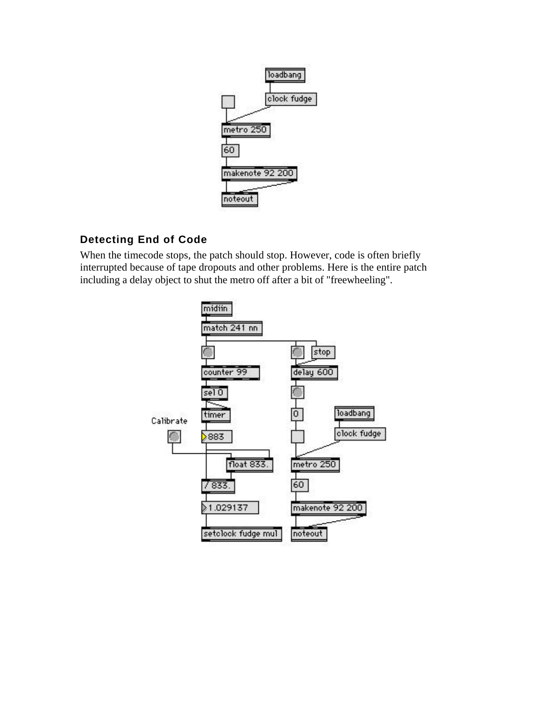

### **Detecting End of Code**

When the timecode stops, the patch should stop. However, code is often briefly interrupted because of tape dropouts and other problems. Here is the entire patch including a delay object to shut the metro off after a bit of "freewheeling".

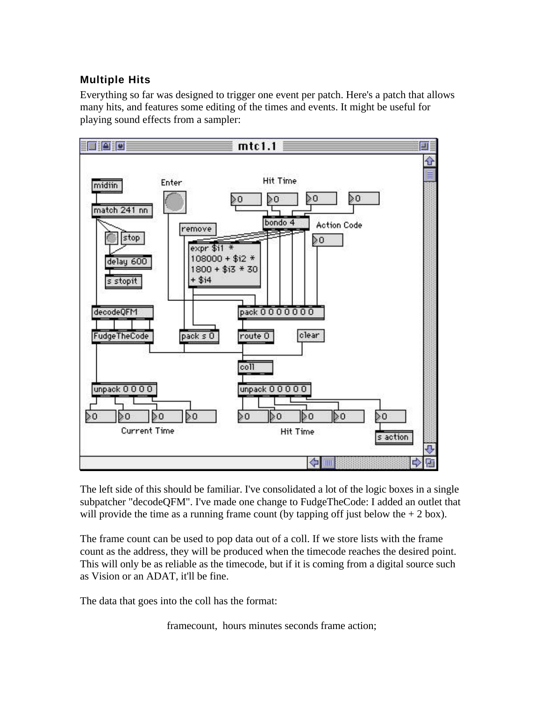#### **Multiple Hits**

Everything so far was designed to trigger one event per patch. Here's a patch that allows many hits, and features some editing of the times and events. It might be useful for playing sound effects from a sampler:



The left side of this should be familiar. I've consolidated a lot of the logic boxes in a single subpatcher "decodeQFM". I've made one change to FudgeTheCode: I added an outlet that will provide the time as a running frame count (by tapping off just below the  $+ 2$  box).

The frame count can be used to pop data out of a coll. If we store lists with the frame count as the address, they will be produced when the timecode reaches the desired point. This will only be as reliable as the timecode, but if it is coming from a digital source such as Vision or an ADAT, it'll be fine.

The data that goes into the coll has the format:

framecount, hours minutes seconds frame action;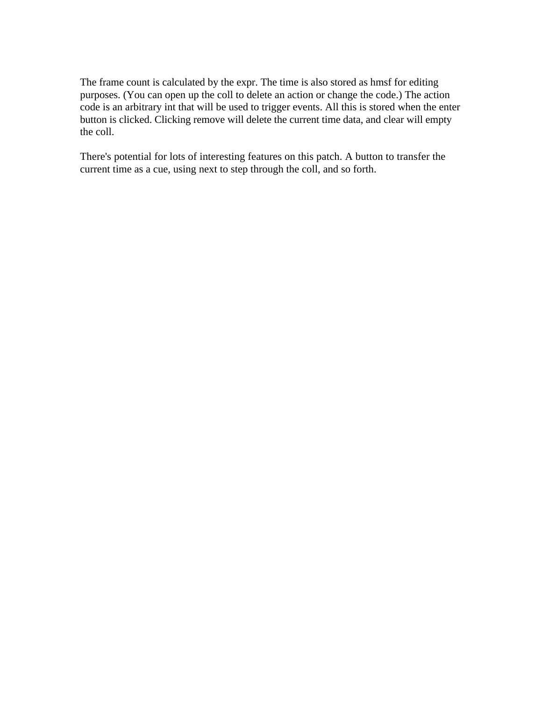The frame count is calculated by the expr. The time is also stored as hmsf for editing purposes. (You can open up the coll to delete an action or change the code.) The action code is an arbitrary int that will be used to trigger events. All this is stored when the enter button is clicked. Clicking remove will delete the current time data, and clear will empty the coll.

There's potential for lots of interesting features on this patch. A button to transfer the current time as a cue, using next to step through the coll, and so forth.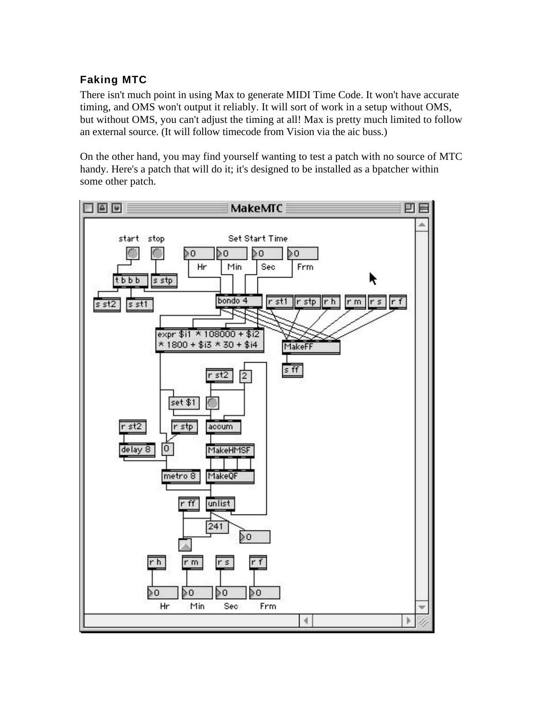## **Faking MTC**

There isn't much point in using Max to generate MIDI Time Code. It won't have accurate timing, and OMS won't output it reliably. It will sort of work in a setup without OMS, but without OMS, you can't adjust the timing at all! Max is pretty much limited to follow an external source. (It will follow timecode from Vision via the aic buss.)

On the other hand, you may find yourself wanting to test a patch with no source of MTC handy. Here's a patch that will do it; it's designed to be installed as a bpatcher within some other patch.

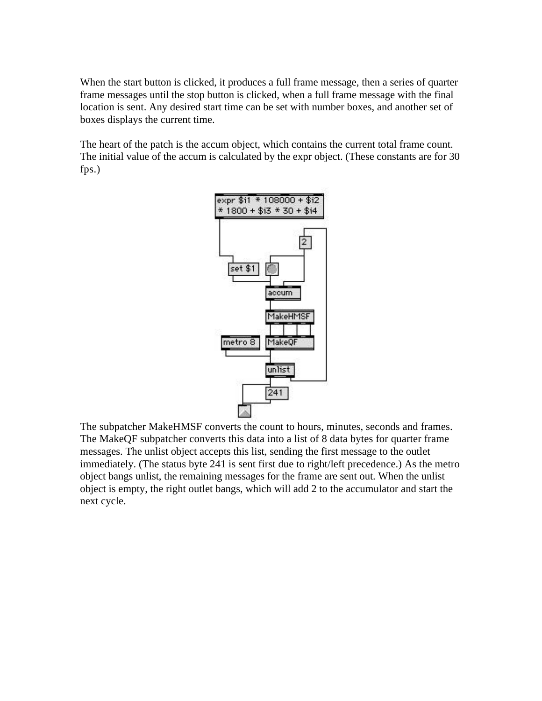When the start button is clicked, it produces a full frame message, then a series of quarter frame messages until the stop button is clicked, when a full frame message with the final location is sent. Any desired start time can be set with number boxes, and another set of boxes displays the current time.

The heart of the patch is the accum object, which contains the current total frame count. The initial value of the accum is calculated by the expr object. (These constants are for 30 fps.)



The subpatcher MakeHMSF converts the count to hours, minutes, seconds and frames. The MakeQF subpatcher converts this data into a list of 8 data bytes for quarter frame messages. The unlist object accepts this list, sending the first message to the outlet immediately. (The status byte 241 is sent first due to right/left precedence.) As the metro object bangs unlist, the remaining messages for the frame are sent out. When the unlist object is empty, the right outlet bangs, which will add 2 to the accumulator and start the next cycle.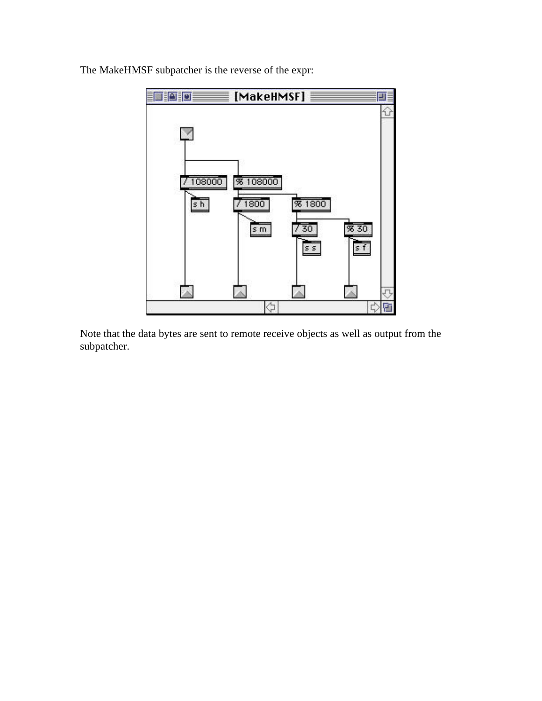

The MakeHMSF subpatcher is the reverse of the expr:

Note that the data bytes are sent to remote receive objects as well as output from the subpatcher.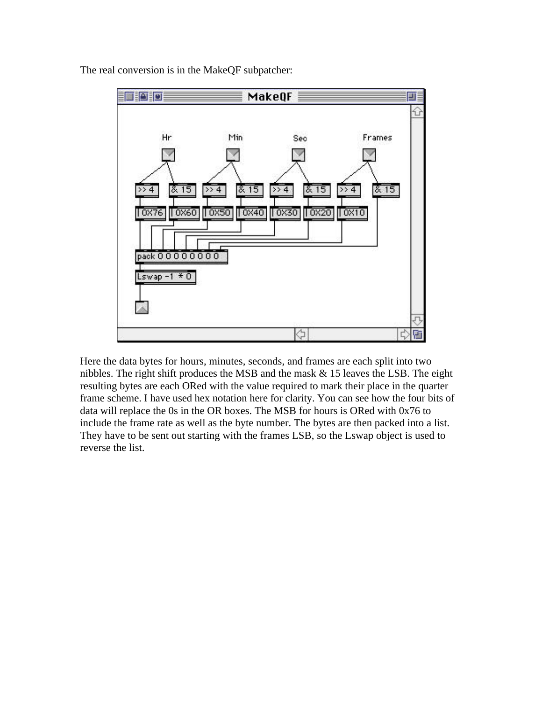

The real conversion is in the MakeQF subpatcher:

Here the data bytes for hours, minutes, seconds, and frames are each split into two nibbles. The right shift produces the MSB and the mask & 15 leaves the LSB. The eight resulting bytes are each ORed with the value required to mark their place in the quarter frame scheme. I have used hex notation here for clarity. You can see how the four bits of data will replace the 0s in the OR boxes. The MSB for hours is ORed with 0x76 to include the frame rate as well as the byte number. The bytes are then packed into a list. They have to be sent out starting with the frames LSB, so the Lswap object is used to reverse the list.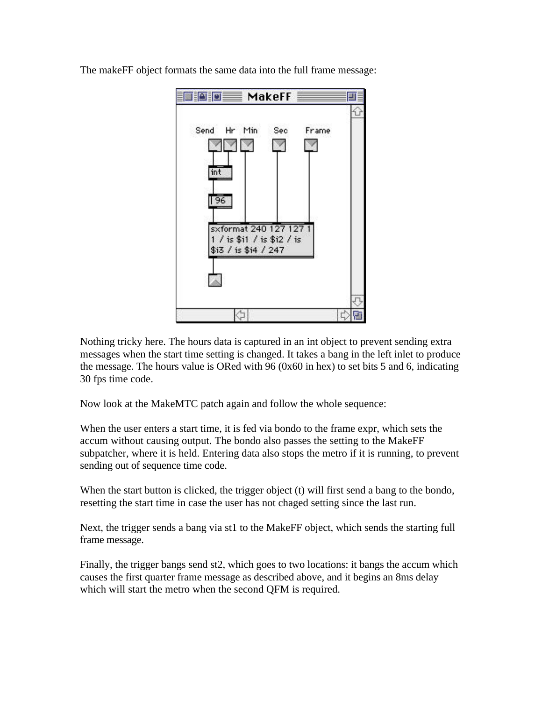

The makeFF object formats the same data into the full frame message:

Nothing tricky here. The hours data is captured in an int object to prevent sending extra messages when the start time setting is changed. It takes a bang in the left inlet to produce the message. The hours value is ORed with 96 (0x60 in hex) to set bits 5 and 6, indicating 30 fps time code.

Now look at the MakeMTC patch again and follow the whole sequence:

When the user enters a start time, it is fed via bondo to the frame expr, which sets the accum without causing output. The bondo also passes the setting to the MakeFF subpatcher, where it is held. Entering data also stops the metro if it is running, to prevent sending out of sequence time code.

When the start button is clicked, the trigger object (t) will first send a bang to the bondo, resetting the start time in case the user has not chaged setting since the last run.

Next, the trigger sends a bang via st1 to the MakeFF object, which sends the starting full frame message.

Finally, the trigger bangs send st2, which goes to two locations: it bangs the accum which causes the first quarter frame message as described above, and it begins an 8ms delay which will start the metro when the second QFM is required.